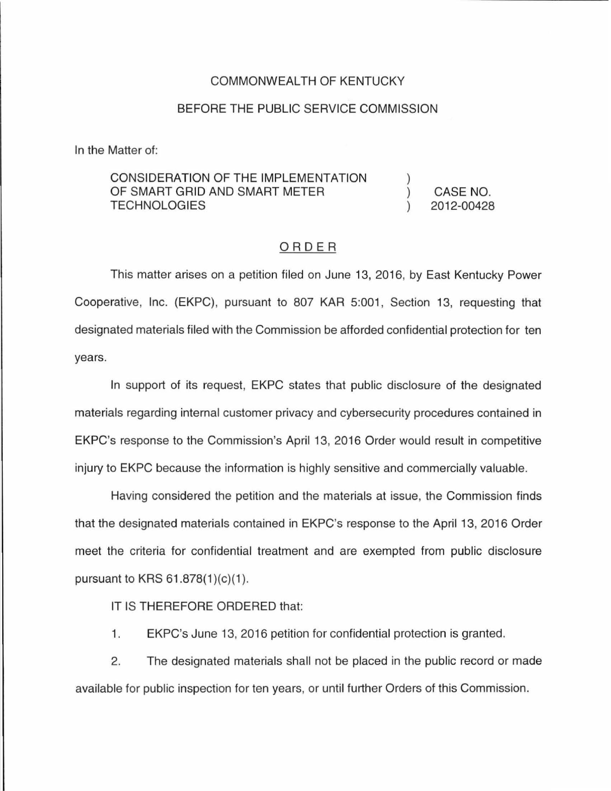### COMMONWEALTH OF KENTUCKY

### BEFORE THE PUBLIC SERVICE COMMISSION

In the Matter of:

## CONSIDERATION OF THE IMPLEMENTATION OF SMART GRID AND SMART METER **TECHNOLOGIES**

CASE NO. 2012-00428

### ORDER

This matter arises on a petition filed on June 13, 2016, by East Kentucky Power Cooperative, Inc. (EKPC), pursuant to 807 KAR 5:001, Section 13, requesting that designated materials filed with the Commission be afforded confidential protection for ten years.

In support of its request, EKPC states that public disclosure of the designated materials regarding internal customer privacy and cybersecurity procedures contained in EKPC's response to the Commission's April 13, 2016 Order would result in competitive injury to EKPC because the information is highly sensitive and commercially valuable.

Having considered the petition and the materials at issue, the Commission finds that the designated materials contained in EKPC's response to the April 13, 2016 Order meet the criteria for confidential treatment and are exempted from public disclosure pursuant to KRS  $61.878(1)(c)(1)$ .

IT IS THEREFORE ORDERED that:

1. EKPC's June 13, 2016 petition for confidential protection is granted.

2. The designated materials shall not be placed in the public record or made available for public inspection for ten years, or until further Orders of this Commission.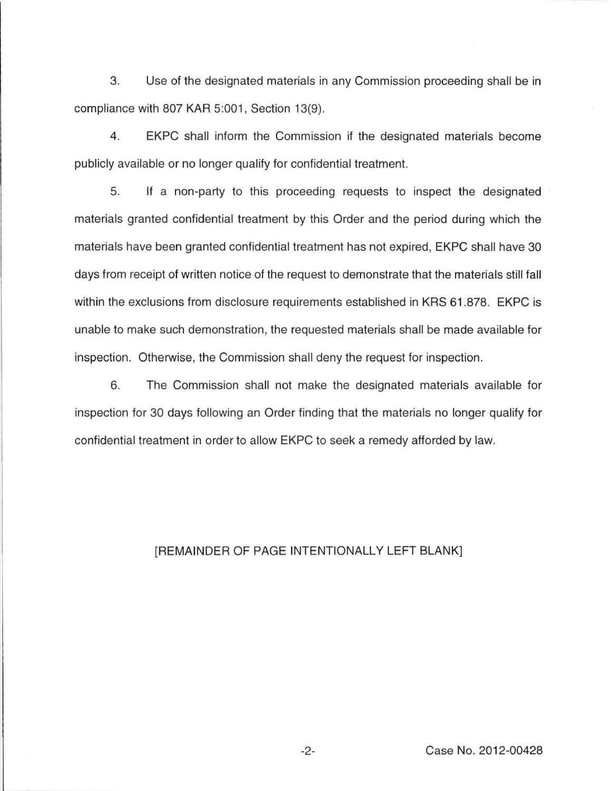3. Use of the designated materials in any Commission proceeding shall be in compliance with 807 KAR 5:001, Section 13(9).

4. EKPC shall inform the Commission if the designated materials become publicly available or no longer qualify for confidential treatment.

5. If a non-party to this proceeding requests to inspect the designated materials granted confidential treatment by this Order and the period during which the materials have been granted confidential treatment has not expired, EKPC shall have 30 days from receipt of written notice of the request to demonstrate that the materials still fall within the exclusions from disclosure requirements established in KRS 61.878. EKPC is unable to make such demonstration, the requested materials shall be made available for inspection. Otherwise, the Commission shall deny the request for inspection.

6. The Commission shall not make the designated materials available for inspection for 30 days following an Order finding that the materials no longer qualify for confidential treatment in order to allow EKPC to seek a remedy afforded by law.

# [REMAINDER OF PAGE INTENTIONALLY LEFT BLANK]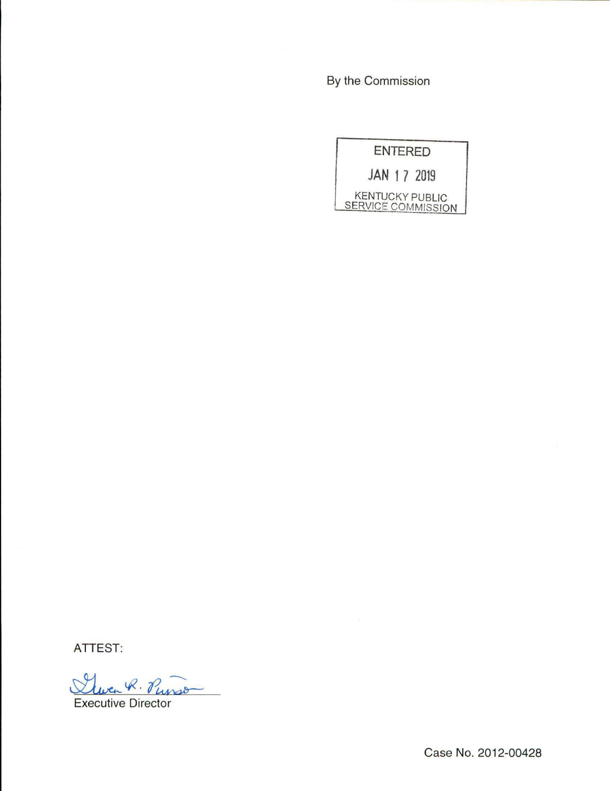By the Commission

**ENTERED JAN 1 7 2019**  KENTUCKY PUBLIC SERVICE COMMISSION

**ATTEST:** 

Wen R. Punso

Executive Director

Case No. 2012-00428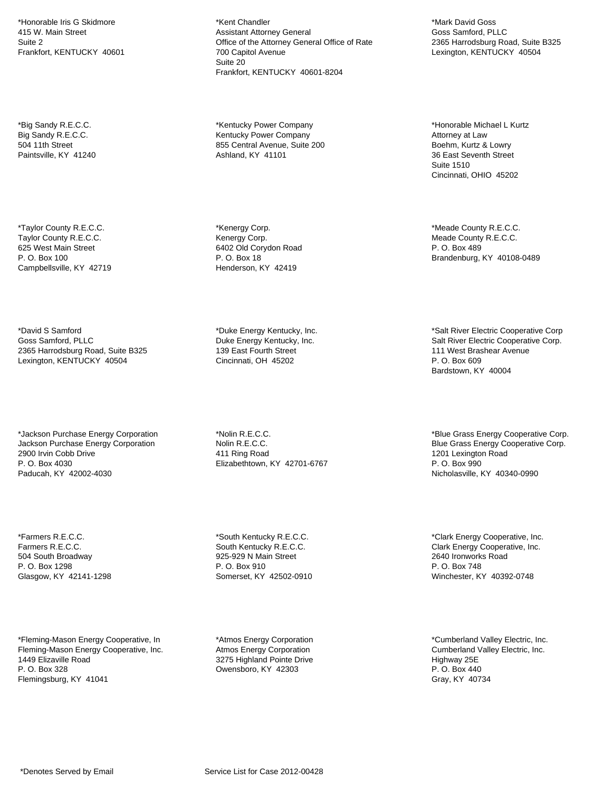\*Honorable Iris G Skidmore 415 W. Main Street Suite 2 Frankfort, KENTUCKY 40601

\*Big Sandy R.E.C.C. Big Sandy R.E.C.C. 504 11th Street Paintsville, KY 41240

\*Taylor County R.E.C.C. Taylor County R.E.C.C. 625 West Main Street P. O. Box 100 Campbellsville, KY 42719

\*David S Samford Goss Samford, PLLC 2365 Harrodsburg Road, Suite B325 Lexington, KENTUCKY 40504

\*Jackson Purchase Energy Corporation Jackson Purchase Energy Corporation 2900 Irvin Cobb Drive P. O. Box 4030 Paducah, KY 42002-4030

\*Farmers R.E.C.C. Farmers R.E.C.C. 504 South Broadway P. O. Box 1298 Glasgow, KY 42141-1298

\*Fleming-Mason Energy Cooperative, In Fleming-Mason Energy Cooperative, Inc. 1449 Elizaville Road P. O. Box 328 Flemingsburg, KY 41041

\*Kent Chandler Assistant Attorney General Office of the Attorney General Office of Rate 700 Capitol Avenue Suite 20 Frankfort, KENTUCKY 40601-8204

\*Kentucky Power Company Kentucky Power Company 855 Central Avenue, Suite 200 Ashland, KY 41101

\*Kenergy Corp. Kenergy Corp. 6402 Old Corydon Road P. O. Box 18 Henderson, KY 42419

\*Duke Energy Kentucky, Inc. Duke Energy Kentucky, Inc. 139 East Fourth Street Cincinnati, OH 45202

\*Nolin R.E.C.C. Nolin R.E.C.C. 411 Ring Road Elizabethtown, KY 42701-6767

\*South Kentucky R.E.C.C. South Kentucky R.E.C.C. 925-929 N Main Street P. O. Box 910 Somerset, KY 42502-0910

\*Atmos Energy Corporation Atmos Energy Corporation 3275 Highland Pointe Drive Owensboro, KY 42303

\*Mark David Goss Goss Samford, PLLC 2365 Harrodsburg Road, Suite B325 Lexington, KENTUCKY 40504

\*Honorable Michael L Kurtz Attorney at Law Boehm, Kurtz & Lowry 36 East Seventh Street Suite 1510 Cincinnati, OHIO 45202

\*Meade County R.E.C.C. Meade County R.E.C.C. P. O. Box 489 Brandenburg, KY 40108-0489

\*Salt River Electric Cooperative Corp Salt River Electric Cooperative Corp. 111 West Brashear Avenue P. O. Box 609 Bardstown, KY 40004

\*Blue Grass Energy Cooperative Corp. Blue Grass Energy Cooperative Corp. 1201 Lexington Road P. O. Box 990 Nicholasville, KY 40340-0990

\*Clark Energy Cooperative, Inc. Clark Energy Cooperative, Inc. 2640 Ironworks Road P. O. Box 748 Winchester, KY 40392-0748

\*Cumberland Valley Electric, Inc. Cumberland Valley Electric, Inc. Highway 25E P. O. Box 440 Gray, KY 40734